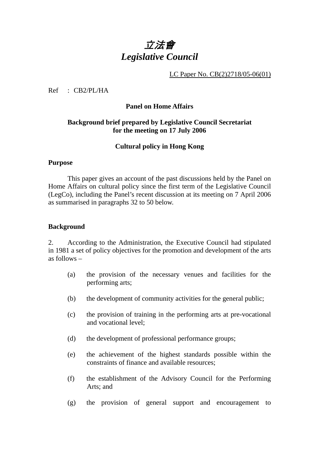# 立法會 *Legislative Council*

# LC Paper No. CB(2)2718/05-06(01)

Ref : CB2/PL/HA

#### **Panel on Home Affairs**

# **Background brief prepared by Legislative Council Secretariat for the meeting on 17 July 2006**

# **Cultural policy in Hong Kong**

#### **Purpose**

This paper gives an account of the past discussions held by the Panel on Home Affairs on cultural policy since the first term of the Legislative Council (LegCo), including the Panel's recent discussion at its meeting on 7 April 2006 as summarised in paragraphs 32 to 50 below.

#### **Background**

2. According to the Administration, the Executive Council had stipulated in 1981 a set of policy objectives for the promotion and development of the arts as follows –

- (a) the provision of the necessary venues and facilities for the performing arts;
- (b) the development of community activities for the general public;
- (c) the provision of training in the performing arts at pre-vocational and vocational level;
- (d) the development of professional performance groups;
- (e) the achievement of the highest standards possible within the constraints of finance and available resources;
- (f) the establishment of the Advisory Council for the Performing Arts; and
- (g) the provision of general support and encouragement to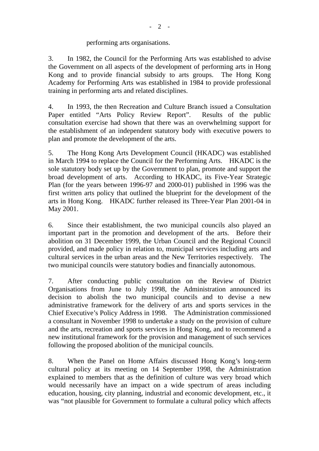# performing arts organisations.

3. In 1982, the Council for the Performing Arts was established to advise the Government on all aspects of the development of performing arts in Hong Kong and to provide financial subsidy to arts groups. The Hong Kong Academy for Performing Arts was established in 1984 to provide professional training in performing arts and related disciplines.

4. In 1993, the then Recreation and Culture Branch issued a Consultation Paper entitled "Arts Policy Review Report". Results of the public consultation exercise had shown that there was an overwhelming support for the establishment of an independent statutory body with executive powers to plan and promote the development of the arts.

5. The Hong Kong Arts Development Council (HKADC) was established in March 1994 to replace the Council for the Performing Arts. HKADC is the sole statutory body set up by the Government to plan, promote and support the broad development of arts. According to HKADC, its Five-Year Strategic Plan (for the years between 1996-97 and 2000-01) published in 1996 was the first written arts policy that outlined the blueprint for the development of the arts in Hong Kong. HKADC further released its Three-Year Plan 2001-04 in May 2001.

6. Since their establishment, the two municipal councils also played an important part in the promotion and development of the arts. Before their abolition on 31 December 1999, the Urban Council and the Regional Council provided, and made policy in relation to, municipal services including arts and cultural services in the urban areas and the New Territories respectively. The two municipal councils were statutory bodies and financially autonomous.

7. After conducting public consultation on the Review of District Organisations from June to July 1998, the Administration announced its decision to abolish the two municipal councils and to devise a new administrative framework for the delivery of arts and sports services in the Chief Executive's Policy Address in 1998. The Administration commissioned a consultant in November 1998 to undertake a study on the provision of culture and the arts, recreation and sports services in Hong Kong, and to recommend a new institutional framework for the provision and management of such services following the proposed abolition of the municipal councils.

8. When the Panel on Home Affairs discussed Hong Kong's long-term cultural policy at its meeting on 14 September 1998, the Administration explained to members that as the definition of culture was very broad which would necessarily have an impact on a wide spectrum of areas including education, housing, city planning, industrial and economic development, etc., it was "not plausible for Government to formulate a cultural policy which affects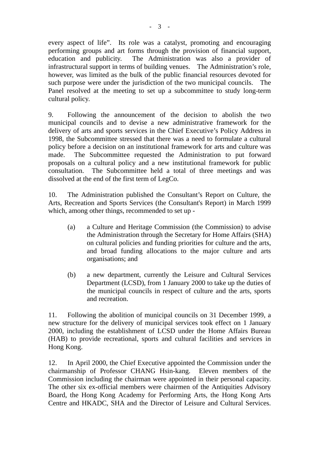every aspect of life". Its role was a catalyst, promoting and encouraging performing groups and art forms through the provision of financial support, education and publicity. The Administration was also a provider of infrastructural support in terms of building venues. The Administration's role, however, was limited as the bulk of the public financial resources devoted for such purpose were under the jurisdiction of the two municipal councils. The Panel resolved at the meeting to set up a subcommittee to study long-term cultural policy.

9. Following the announcement of the decision to abolish the two municipal councils and to devise a new administrative framework for the delivery of arts and sports services in the Chief Executive's Policy Address in 1998, the Subcommittee stressed that there was a need to formulate a cultural policy before a decision on an institutional framework for arts and culture was made. The Subcommittee requested the Administration to put forward proposals on a cultural policy and a new institutional framework for public consultation. The Subcommittee held a total of three meetings and was dissolved at the end of the first term of LegCo.

10. The Administration published the Consultant's Report on Culture, the Arts, Recreation and Sports Services (the Consultant's Report) in March 1999 which, among other things, recommended to set up -

- (a) a Culture and Heritage Commission (the Commission) to advise the Administration through the Secretary for Home Affairs (SHA) on cultural policies and funding priorities for culture and the arts, and broad funding allocations to the major culture and arts organisations; and
- (b) a new department, currently the Leisure and Cultural Services Department (LCSD), from 1 January 2000 to take up the duties of the municipal councils in respect of culture and the arts, sports and recreation.

11. Following the abolition of municipal councils on 31 December 1999, a new structure for the delivery of municipal services took effect on 1 January 2000, including the establishment of LCSD under the Home Affairs Bureau (HAB) to provide recreational, sports and cultural facilities and services in Hong Kong.

12. In April 2000, the Chief Executive appointed the Commission under the chairmanship of Professor CHANG Hsin-kang. Eleven members of the Commission including the chairman were appointed in their personal capacity. The other six ex-official members were chairmen of the Antiquities Advisory Board, the Hong Kong Academy for Performing Arts, the Hong Kong Arts Centre and HKADC, SHA and the Director of Leisure and Cultural Services.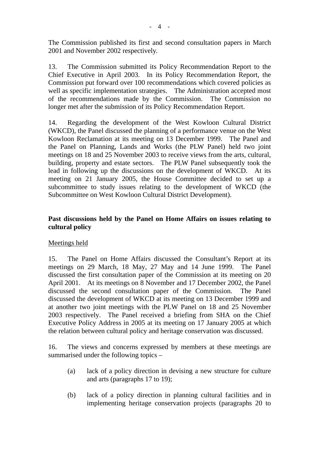The Commission published its first and second consultation papers in March 2001 and November 2002 respectively.

13. The Commission submitted its Policy Recommendation Report to the Chief Executive in April 2003. In its Policy Recommendation Report, the Commission put forward over 100 recommendations which covered policies as well as specific implementation strategies. The Administration accepted most of the recommendations made by the Commission. The Commission no longer met after the submission of its Policy Recommendation Report.

14. Regarding the development of the West Kowloon Cultural District (WKCD), the Panel discussed the planning of a performance venue on the West Kowloon Reclamation at its meeting on 13 December 1999. The Panel and the Panel on Planning, Lands and Works (the PLW Panel) held two joint meetings on 18 and 25 November 2003 to receive views from the arts, cultural, building, property and estate sectors. The PLW Panel subsequently took the lead in following up the discussions on the development of WKCD. At its meeting on 21 January 2005, the House Committee decided to set up a subcommittee to study issues relating to the development of WKCD (the Subcommittee on West Kowloon Cultural District Development).

# **Past discussions held by the Panel on Home Affairs on issues relating to cultural policy**

# Meetings held

15. The Panel on Home Affairs discussed the Consultant's Report at its meetings on 29 March, 18 May, 27 May and 14 June 1999. The Panel discussed the first consultation paper of the Commission at its meeting on 20 April 2001. At its meetings on 8 November and 17 December 2002, the Panel discussed the second consultation paper of the Commission. The Panel discussed the development of WKCD at its meeting on 13 December 1999 and at another two joint meetings with the PLW Panel on 18 and 25 November 2003 respectively. The Panel received a briefing from SHA on the Chief Executive Policy Address in 2005 at its meeting on 17 January 2005 at which the relation between cultural policy and heritage conservation was discussed.

16. The views and concerns expressed by members at these meetings are summarised under the following topics –

- (a) lack of a policy direction in devising a new structure for culture and arts (paragraphs 17 to 19);
- (b) lack of a policy direction in planning cultural facilities and in implementing heritage conservation projects (paragraphs 20 to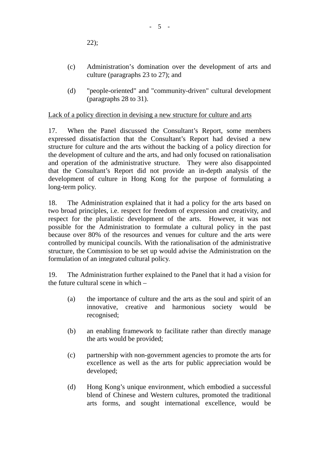22);

- (c) Administration's domination over the development of arts and culture (paragraphs 23 to 27); and
- (d) "people-oriented" and "community-driven" cultural development (paragraphs 28 to 31).

Lack of a policy direction in devising a new structure for culture and arts

17. When the Panel discussed the Consultant's Report, some members expressed dissatisfaction that the Consultant's Report had devised a new structure for culture and the arts without the backing of a policy direction for the development of culture and the arts, and had only focused on rationalisation and operation of the administrative structure. They were also disappointed that the Consultant's Report did not provide an in-depth analysis of the development of culture in Hong Kong for the purpose of formulating a long-term policy.

18. The Administration explained that it had a policy for the arts based on two broad principles, i.e. respect for freedom of expression and creativity, and respect for the pluralistic development of the arts. However, it was not possible for the Administration to formulate a cultural policy in the past because over 80% of the resources and venues for culture and the arts were controlled by municipal councils. With the rationalisation of the administrative structure, the Commission to be set up would advise the Administration on the formulation of an integrated cultural policy.

19. The Administration further explained to the Panel that it had a vision for the future cultural scene in which –

- (a) the importance of culture and the arts as the soul and spirit of an innovative, creative and harmonious society would be recognised;
- (b) an enabling framework to facilitate rather than directly manage the arts would be provided;
- (c) partnership with non-government agencies to promote the arts for excellence as well as the arts for public appreciation would be developed;
- (d) Hong Kong's unique environment, which embodied a successful blend of Chinese and Western cultures, promoted the traditional arts forms, and sought international excellence, would be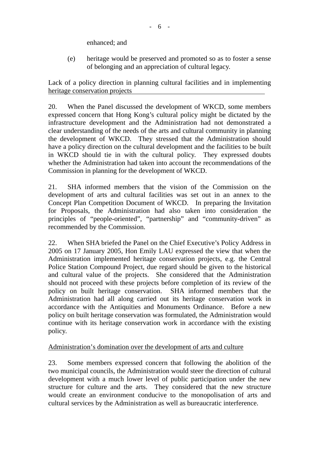enhanced; and

(e) heritage would be preserved and promoted so as to foster a sense of belonging and an appreciation of cultural legacy.

Lack of a policy direction in planning cultural facilities and in implementing heritage conservation projects

20. When the Panel discussed the development of WKCD, some members expressed concern that Hong Kong's cultural policy might be dictated by the infrastructure development and the Administration had not demonstrated a clear understanding of the needs of the arts and cultural community in planning the development of WKCD. They stressed that the Administration should have a policy direction on the cultural development and the facilities to be built in WKCD should tie in with the cultural policy. They expressed doubts whether the Administration had taken into account the recommendations of the Commission in planning for the development of WKCD.

21. SHA informed members that the vision of the Commission on the development of arts and cultural facilities was set out in an annex to the Concept Plan Competition Document of WKCD. In preparing the Invitation for Proposals, the Administration had also taken into consideration the principles of "people-oriented", "partnership" and "community-driven" as recommended by the Commission.

22. When SHA briefed the Panel on the Chief Executive's Policy Address in 2005 on 17 January 2005, Hon Emily LAU expressed the view that when the Administration implemented heritage conservation projects, e.g. the Central Police Station Compound Project, due regard should be given to the historical and cultural value of the projects. She considered that the Administration should not proceed with these projects before completion of its review of the policy on built heritage conservation. SHA informed members that the Administration had all along carried out its heritage conservation work in accordance with the Antiquities and Monuments Ordinance. Before a new policy on built heritage conservation was formulated, the Administration would continue with its heritage conservation work in accordance with the existing policy.

# Administration's domination over the development of arts and culture

23. Some members expressed concern that following the abolition of the two municipal councils, the Administration would steer the direction of cultural development with a much lower level of public participation under the new structure for culture and the arts. They considered that the new structure would create an environment conducive to the monopolisation of arts and cultural services by the Administration as well as bureaucratic interference.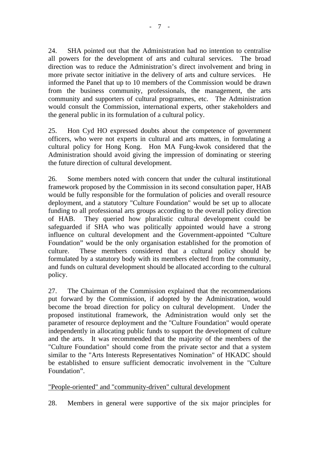24. SHA pointed out that the Administration had no intention to centralise all powers for the development of arts and cultural services. The broad direction was to reduce the Administration's direct involvement and bring in more private sector initiative in the delivery of arts and culture services. He informed the Panel that up to 10 members of the Commission would be drawn from the business community, professionals, the management, the arts community and supporters of cultural programmes, etc. The Administration would consult the Commission, international experts, other stakeholders and the general public in its formulation of a cultural policy.

25. Hon Cyd HO expressed doubts about the competence of government officers, who were not experts in cultural and arts matters, in formulating a cultural policy for Hong Kong. Hon MA Fung-kwok considered that the Administration should avoid giving the impression of dominating or steering the future direction of cultural development.

26. Some members noted with concern that under the cultural institutional framework proposed by the Commission in its second consultation paper, HAB would be fully responsible for the formulation of policies and overall resource deployment, and a statutory "Culture Foundation" would be set up to allocate funding to all professional arts groups according to the overall policy direction of HAB. They queried how pluralistic cultural development could be safeguarded if SHA who was politically appointed would have a strong influence on cultural development and the Government-appointed "Culture Foundation" would be the only organisation established for the promotion of culture. These members considered that a cultural policy should be formulated by a statutory body with its members elected from the community, and funds on cultural development should be allocated according to the cultural policy.

27. The Chairman of the Commission explained that the recommendations put forward by the Commission, if adopted by the Administration, would become the broad direction for policy on cultural development. Under the proposed institutional framework, the Administration would only set the parameter of resource deployment and the "Culture Foundation" would operate independently in allocating public funds to support the development of culture and the arts. It was recommended that the majority of the members of the "Culture Foundation" should come from the private sector and that a system similar to the "Arts Interests Representatives Nomination" of HKADC should be established to ensure sufficient democratic involvement in the "Culture Foundation".

# "People-oriented" and "community-driven" cultural development

28. Members in general were supportive of the six major principles for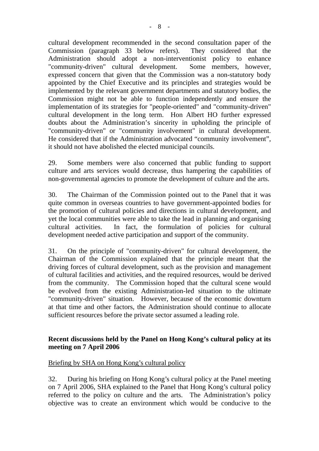cultural development recommended in the second consultation paper of the Commission (paragraph 33 below refers). They considered that the Administration should adopt a non-interventionist policy to enhance "community-driven" cultural development. Some members, however, expressed concern that given that the Commission was a non-statutory body appointed by the Chief Executive and its principles and strategies would be implemented by the relevant government departments and statutory bodies, the Commission might not be able to function independently and ensure the implementation of its strategies for "people-oriented" and "community-driven" cultural development in the long term. Hon Albert HO further expressed doubts about the Administration's sincerity in upholding the principle of "community-driven" or "community involvement" in cultural development. He considered that if the Administration advocated "community involvement", it should not have abolished the elected municipal councils.

29. Some members were also concerned that public funding to support culture and arts services would decrease, thus hampering the capabilities of non-governmental agencies to promote the development of culture and the arts.

30. The Chairman of the Commission pointed out to the Panel that it was quite common in overseas countries to have government-appointed bodies for the promotion of cultural policies and directions in cultural development, and yet the local communities were able to take the lead in planning and organising cultural activities. In fact, the formulation of policies for cultural development needed active participation and support of the community.

31. On the principle of "community-driven" for cultural development, the Chairman of the Commission explained that the principle meant that the driving forces of cultural development, such as the provision and management of cultural facilities and activities, and the required resources, would be derived from the community. The Commission hoped that the cultural scene would be evolved from the existing Administration-led situation to the ultimate "community-driven" situation. However, because of the economic downturn at that time and other factors, the Administration should continue to allocate sufficient resources before the private sector assumed a leading role.

# **Recent discussions held by the Panel on Hong Kong's cultural policy at its meeting on 7 April 2006**

# Briefing by SHA on Hong Kong's cultural policy

32. During his briefing on Hong Kong's cultural policy at the Panel meeting on 7 April 2006, SHA explained to the Panel that Hong Kong's cultural policy referred to the policy on culture and the arts. The Administration's policy objective was to create an environment which would be conducive to the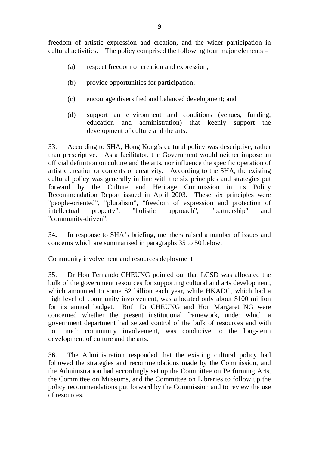freedom of artistic expression and creation, and the wider participation in cultural activities. The policy comprised the following four major elements –

- (a) respect freedom of creation and expression;
- (b) provide opportunities for participation;
- (c) encourage diversified and balanced development; and
- (d) support an environment and conditions (venues, funding, education and administration) that keenly support the development of culture and the arts.

33. According to SHA, Hong Kong's cultural policy was descriptive, rather than prescriptive. As a facilitator, the Government would neither impose an official definition on culture and the arts, nor influence the specific operation of artistic creation or contents of creativity. According to the SHA, the existing cultural policy was generally in line with the six principles and strategies put forward by the Culture and Heritage Commission in its Policy Recommendation Report issued in April 2003. These six principles were "people-oriented", "pluralism", "freedom of expression and protection of intellectual property", "holistic approach", "partnership" and "community-driven".

34**.** In response to SHA's briefing, members raised a number of issues and concerns which are summarised in paragraphs 35 to 50 below.

Community involvement and resources deployment

35. Dr Hon Fernando CHEUNG pointed out that LCSD was allocated the bulk of the government resources for supporting cultural and arts development, which amounted to some \$2 billion each year, while HKADC, which had a high level of community involvement, was allocated only about \$100 million for its annual budget. Both Dr CHEUNG and Hon Margaret NG were concerned whether the present institutional framework, under which a government department had seized control of the bulk of resources and with not much community involvement, was conducive to the long-term development of culture and the arts.

36. The Administration responded that the existing cultural policy had followed the strategies and recommendations made by the Commission, and the Administration had accordingly set up the Committee on Performing Arts, the Committee on Museums, and the Committee on Libraries to follow up the policy recommendations put forward by the Commission and to review the use of resources.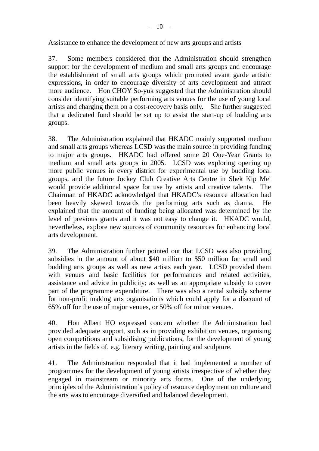#### Assistance to enhance the development of new arts groups and artists

37. Some members considered that the Administration should strengthen support for the development of medium and small arts groups and encourage the establishment of small arts groups which promoted avant garde artistic expressions, in order to encourage diversity of arts development and attract more audience. Hon CHOY So-yuk suggested that the Administration should consider identifying suitable performing arts venues for the use of young local artists and charging them on a cost-recovery basis only. She further suggested that a dedicated fund should be set up to assist the start-up of budding arts groups.

38. The Administration explained that HKADC mainly supported medium and small arts groups whereas LCSD was the main source in providing funding to major arts groups. HKADC had offered some 20 One-Year Grants to medium and small arts groups in 2005. LCSD was exploring opening up more public venues in every district for experimental use by budding local groups, and the future Jockey Club Creative Arts Centre in Shek Kip Mei would provide additional space for use by artists and creative talents. The Chairman of HKADC acknowledged that HKADC's resource allocation had been heavily skewed towards the performing arts such as drama. He explained that the amount of funding being allocated was determined by the level of previous grants and it was not easy to change it. HKADC would, nevertheless, explore new sources of community resources for enhancing local arts development.

39. The Administration further pointed out that LCSD was also providing subsidies in the amount of about \$40 million to \$50 million for small and budding arts groups as well as new artists each year. LCSD provided them with venues and basic facilities for performances and related activities, assistance and advice in publicity; as well as an appropriate subsidy to cover part of the programme expenditure. There was also a rental subsidy scheme for non-profit making arts organisations which could apply for a discount of 65% off for the use of major venues, or 50% off for minor venues.

40. Hon Albert HO expressed concern whether the Administration had provided adequate support, such as in providing exhibition venues, organising open competitions and subsidising publications, for the development of young artists in the fields of, e.g. literary writing, painting and sculpture.

41. The Administration responded that it had implemented a number of programmes for the development of young artists irrespective of whether they engaged in mainstream or minority arts forms. One of the underlying principles of the Administration's policy of resource deployment on culture and the arts was to encourage diversified and balanced development.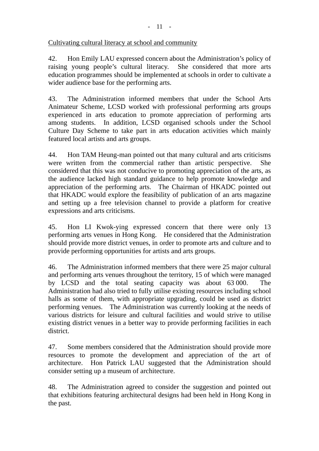# Cultivating cultural literacy at school and community

42. Hon Emily LAU expressed concern about the Administration's policy of raising young people's cultural literacy. She considered that more arts education programmes should be implemented at schools in order to cultivate a wider audience base for the performing arts.

43. The Administration informed members that under the School Arts Animateur Scheme, LCSD worked with professional performing arts groups experienced in arts education to promote appreciation of performing arts among students. In addition, LCSD organised schools under the School Culture Day Scheme to take part in arts education activities which mainly featured local artists and arts groups.

44. Hon TAM Heung-man pointed out that many cultural and arts criticisms were written from the commercial rather than artistic perspective. She considered that this was not conducive to promoting appreciation of the arts, as the audience lacked high standard guidance to help promote knowledge and appreciation of the performing arts. The Chairman of HKADC pointed out that HKADC would explore the feasibility of publication of an arts magazine and setting up a free television channel to provide a platform for creative expressions and arts criticisms.

45. Hon LI Kwok-ying expressed concern that there were only 13 performing arts venues in Hong Kong. He considered that the Administration should provide more district venues, in order to promote arts and culture and to provide performing opportunities for artists and arts groups.

46. The Administration informed members that there were 25 major cultural and performing arts venues throughout the territory, 15 of which were managed by LCSD and the total seating capacity was about 63 000. The Administration had also tried to fully utilise existing resources including school halls as some of them, with appropriate upgrading, could be used as district performing venues. The Administration was currently looking at the needs of various districts for leisure and cultural facilities and would strive to utilise existing district venues in a better way to provide performing facilities in each district.

47. Some members considered that the Administration should provide more resources to promote the development and appreciation of the art of architecture. Hon Patrick LAU suggested that the Administration should consider setting up a museum of architecture.

48. The Administration agreed to consider the suggestion and pointed out that exhibitions featuring architectural designs had been held in Hong Kong in the past.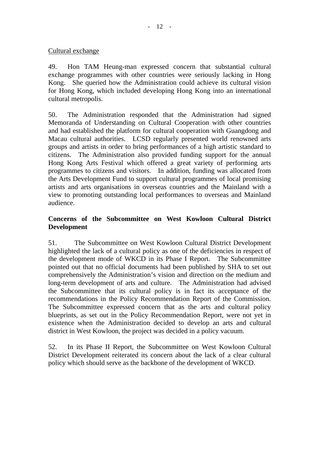#### Cultural exchange

49. Hon TAM Heung-man expressed concern that substantial cultural exchange programmes with other countries were seriously lacking in Hong Kong. She queried how the Administration could achieve its cultural vision for Hong Kong, which included developing Hong Kong into an international cultural metropolis.

50. The Administration responded that the Administration had signed Memoranda of Understanding on Cultural Cooperation with other countries and had established the platform for cultural cooperation with Guangdong and Macau cultural authorities. LCSD regularly presented world renowned arts groups and artists in order to bring performances of a high artistic standard to citizens. The Administration also provided funding support for the annual Hong Kong Arts Festival which offered a great variety of performing arts programmes to citizens and visitors. In addition, funding was allocated from the Arts Development Fund to support cultural programmes of local promising artists and arts organisations in overseas countries and the Mainland with a view to promoting outstanding local performances to overseas and Mainland audience.

# **Concerns of the Subcommittee on West Kowloon Cultural District Development**

51. The Subcommittee on West Kowloon Cultural District Development highlighted the lack of a cultural policy as one of the deficiencies in respect of the development mode of WKCD in its Phase I Report. The Subcommittee pointed out that no official documents had been published by SHA to set out comprehensively the Administration's vision and direction on the medium and long-term development of arts and culture. The Administration had advised the Subcommittee that its cultural policy is in fact its acceptance of the recommendations in the Policy Recommendation Report of the Commission. The Subcommittee expressed concern that as the arts and cultural policy blueprints, as set out in the Policy Recommendation Report, were not yet in existence when the Administration decided to develop an arts and cultural district in West Kowloon, the project was decided in a policy vacuum.

52. In its Phase II Report, the Subcommittee on West Kowloon Cultural District Development reiterated its concern about the lack of a clear cultural policy which should serve as the backbone of the development of WKCD.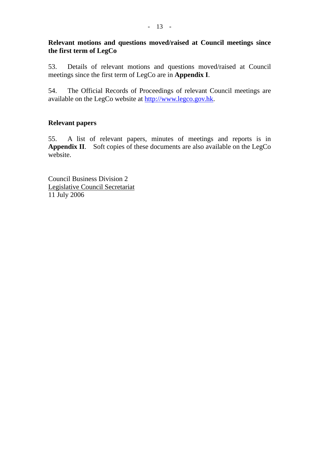# **Relevant motions and questions moved/raised at Council meetings since the first term of LegCo**

53. Details of relevant motions and questions moved/raised at Council meetings since the first term of LegCo are in **Appendix I**.

54. The Official Records of Proceedings of relevant Council meetings are available on the LegCo website at http://www.legco.gov.hk.

# **Relevant papers**

55. A list of relevant papers, minutes of meetings and reports is in Appendix II. Soft copies of these documents are also available on the LegCo website.

Council Business Division 2 Legislative Council Secretariat 11 July 2006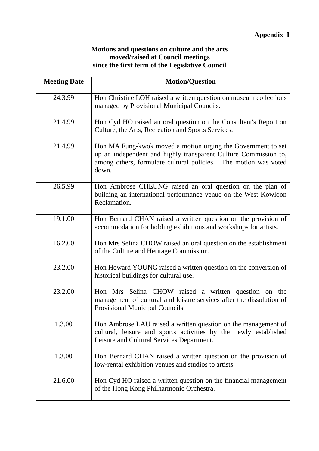# **Motions and questions on culture and the arts moved/raised at Council meetings since the first term of the Legislative Council**

| <b>Meeting Date</b> | <b>Motion/Question</b>                                                                                                                                                                                      |
|---------------------|-------------------------------------------------------------------------------------------------------------------------------------------------------------------------------------------------------------|
| 24.3.99             | Hon Christine LOH raised a written question on museum collections<br>managed by Provisional Municipal Councils.                                                                                             |
| 21.4.99             | Hon Cyd HO raised an oral question on the Consultant's Report on<br>Culture, the Arts, Recreation and Sports Services.                                                                                      |
| 21.4.99             | Hon MA Fung-kwok moved a motion urging the Government to set<br>up an independent and highly transparent Culture Commission to,<br>among others, formulate cultural policies. The motion was voted<br>down. |
| 26.5.99             | Hon Ambrose CHEUNG raised an oral question on the plan of<br>building an international performance venue on the West Kowloon<br>Reclamation.                                                                |
| 19.1.00             | Hon Bernard CHAN raised a written question on the provision of<br>accommodation for holding exhibitions and workshops for artists.                                                                          |
| 16.2.00             | Hon Mrs Selina CHOW raised an oral question on the establishment<br>of the Culture and Heritage Commission.                                                                                                 |
| 23.2.00             | Hon Howard YOUNG raised a written question on the conversion of<br>historical buildings for cultural use.                                                                                                   |
| 23.2.00             | Hon Mrs Selina CHOW raised a written question on the<br>management of cultural and leisure services after the dissolution of<br>Provisional Municipal Councils.                                             |
| 1.3.00              | Hon Ambrose LAU raised a written question on the management of<br>cultural, leisure and sports activities by the newly established<br>Leisure and Cultural Services Department.                             |
| 1.3.00              | Hon Bernard CHAN raised a written question on the provision of<br>low-rental exhibition venues and studios to artists.                                                                                      |
| 21.6.00             | Hon Cyd HO raised a written question on the financial management<br>of the Hong Kong Philharmonic Orchestra.                                                                                                |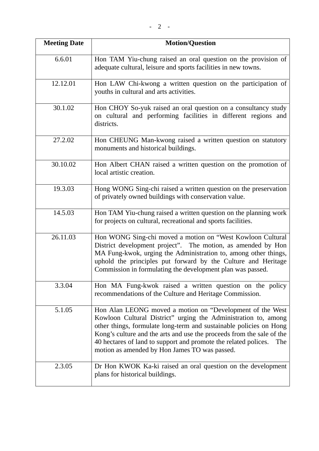| <b>Meeting Date</b> | <b>Motion/Question</b>                                                                                                                                                                                                                                                                                                                                                                                 |
|---------------------|--------------------------------------------------------------------------------------------------------------------------------------------------------------------------------------------------------------------------------------------------------------------------------------------------------------------------------------------------------------------------------------------------------|
| 6.6.01              | Hon TAM Yiu-chung raised an oral question on the provision of<br>adequate cultural, leisure and sports facilities in new towns.                                                                                                                                                                                                                                                                        |
| 12.12.01            | Hon LAW Chi-kwong a written question on the participation of<br>youths in cultural and arts activities.                                                                                                                                                                                                                                                                                                |
| 30.1.02             | Hon CHOY So-yuk raised an oral question on a consultancy study<br>on cultural and performing facilities in different regions and<br>districts.                                                                                                                                                                                                                                                         |
| 27.2.02             | Hon CHEUNG Man-kwong raised a written question on statutory<br>monuments and historical buildings.                                                                                                                                                                                                                                                                                                     |
| 30.10.02            | Hon Albert CHAN raised a written question on the promotion of<br>local artistic creation.                                                                                                                                                                                                                                                                                                              |
| 19.3.03             | Hong WONG Sing-chi raised a written question on the preservation<br>of privately owned buildings with conservation value.                                                                                                                                                                                                                                                                              |
| 14.5.03             | Hon TAM Yiu-chung raised a written question on the planning work<br>for projects on cultural, recreational and sports facilities.                                                                                                                                                                                                                                                                      |
| 26.11.03            | Hon WONG Sing-chi moved a motion on "West Kowloon Cultural<br>District development project". The motion, as amended by Hon<br>MA Fung-kwok, urging the Administration to, among other things,<br>uphold the principles put forward by the Culture and Heritage<br>Commission in formulating the development plan was passed.                                                                           |
| 3.3.04              | Hon MA Fung-kwok raised a written question on the policy<br>recommendations of the Culture and Heritage Commission.                                                                                                                                                                                                                                                                                    |
| 5.1.05              | Hon Alan LEONG moved a motion on "Development of the West"<br>Kowloon Cultural District" urging the Administration to, among<br>other things, formulate long-term and sustainable policies on Hong<br>Kong's culture and the arts and use the proceeds from the sale of the<br>40 hectares of land to support and promote the related polices.<br>The<br>motion as amended by Hon James TO was passed. |
| 2.3.05              | Dr Hon KWOK Ka-ki raised an oral question on the development<br>plans for historical buildings.                                                                                                                                                                                                                                                                                                        |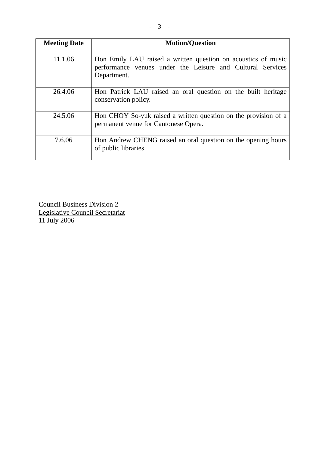| <b>Meeting Date</b> | <b>Motion/Question</b>                                                                                                                     |
|---------------------|--------------------------------------------------------------------------------------------------------------------------------------------|
| 11.1.06             | Hon Emily LAU raised a written question on acoustics of music<br>performance venues under the Leisure and Cultural Services<br>Department. |
| 26.4.06             | Hon Patrick LAU raised an oral question on the built heritage<br>conservation policy.                                                      |
| 24.5.06             | Hon CHOY So-yuk raised a written question on the provision of a<br>permanent venue for Cantonese Opera.                                    |
| 7.6.06              | Hon Andrew CHENG raised an oral question on the opening hours<br>of public libraries.                                                      |

Council Business Division 2 Legislative Council Secretariat 11 July 2006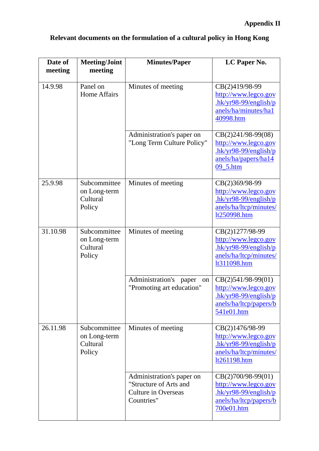| Date of<br>meeting | <b>Meeting/Joint</b><br>meeting                    | <b>Minutes/Paper</b>                                                                            | LC Paper No.                                                                                                   |
|--------------------|----------------------------------------------------|-------------------------------------------------------------------------------------------------|----------------------------------------------------------------------------------------------------------------|
| 14.9.98            | Panel on<br><b>Home Affairs</b>                    | Minutes of meeting                                                                              | CB(2)419/98-99<br>http://www.legco.gov<br>$hk/yr98-99/english/p$<br>anels/ha/minutes/ha1<br>40998.htm          |
|                    |                                                    | Administration's paper on<br>"Long Term Culture Policy"                                         | $CB(2)241/98-99(08)$<br>http://www.legco.gov<br>$hk/yr98-99/english/p$<br>anels/ha/papers/ha14<br>09_5.htm     |
| 25.9.98            | Subcommittee<br>on Long-term<br>Cultural<br>Policy | Minutes of meeting                                                                              | CB(2)369/98-99<br>http://www.legco.gov<br>$-hk/yr98-99/english/p$<br>anels/ha/ltcp/minutes/<br>lt250998.htm    |
| 31.10.98           | Subcommittee<br>on Long-term<br>Cultural<br>Policy | Minutes of meeting                                                                              | CB(2)1277/98-99<br>http://www.legco.gov<br>$hk/yr98-99/english/p$<br>anels/ha/ltcp/minutes/<br>lt311098.htm    |
|                    |                                                    | Administration's paper<br>on<br>"Promoting art education"                                       | $CB(2)541/98-99(01)$<br>http://www.legco.gov<br>$hk/yr98-99/english/p$<br>anels/ha/ltcp/papers/b<br>541e01.htm |
| 26.11.98           | Subcommittee<br>on Long-term<br>Cultural<br>Policy | Minutes of meeting                                                                              | CB(2)1476/98-99<br>http://www.legco.gov<br>$-hk/yr98-99/english/p$<br>anels/ha/ltcp/minutes/<br>lt261198.htm   |
|                    |                                                    | Administration's paper on<br>"Structure of Arts and<br><b>Culture in Overseas</b><br>Countries" | $CB(2)700/98-99(01)$<br>http://www.legco.gov<br>$hk/yr98-99/english/p$<br>anels/ha/ltcp/papers/b<br>700e01.htm |

# **Relevant documents on the formulation of a cultural policy in Hong Kong**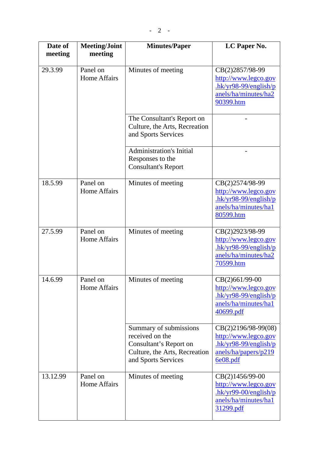| Date of<br>meeting | <b>Meeting/Joint</b><br>meeting | <b>Minutes/Paper</b>                                                                                                        | LC Paper No.                                                                                              |
|--------------------|---------------------------------|-----------------------------------------------------------------------------------------------------------------------------|-----------------------------------------------------------------------------------------------------------|
|                    |                                 |                                                                                                                             |                                                                                                           |
| 29.3.99            | Panel on<br><b>Home Affairs</b> | Minutes of meeting                                                                                                          | CB(2)2857/98-99<br>http://www.legco.gov<br>$.$ hk/yr98-99/english/p<br>anels/ha/minutes/ha2<br>90399.htm  |
|                    |                                 | The Consultant's Report on<br>Culture, the Arts, Recreation<br>and Sports Services                                          |                                                                                                           |
|                    |                                 | <b>Administration's Initial</b><br>Responses to the<br><b>Consultant's Report</b>                                           |                                                                                                           |
| 18.5.99            | Panel on<br>Home Affairs        | Minutes of meeting                                                                                                          | CB(2)2574/98-99<br>http://www.legco.gov<br>$hk/yr98-99/english/p$<br>anels/ha/minutes/hal<br>80599.htm    |
| 27.5.99            | Panel on<br>Home Affairs        | Minutes of meeting                                                                                                          | CB(2)2923/98-99<br>http://www.legco.gov<br>$-hk/yr98-99/english/p$<br>anels/ha/minutes/ha2<br>70599.htm   |
| 14.6.99            | Panel on<br>Home Affairs        | Minutes of meeting                                                                                                          | $CB(2)661/99-00$<br>http://www.legco.gov<br>$-hk/yr98-99/english/p$<br>anels/ha/minutes/hal<br>40699.pdf  |
|                    |                                 | Summary of submissions<br>received on the<br>Consultant's Report on<br>Culture, the Arts, Recreation<br>and Sports Services | CB(2)2196/98-99(08)<br>http://www.legco.gov<br>$hk/yr98-99/english/p$<br>anels/ha/papers/p219<br>6e08.pdf |
| 13.12.99           | Panel on<br><b>Home Affairs</b> | Minutes of meeting                                                                                                          | CB(2)1456/99-00<br>http://www.legco.gov<br>$hk/yr99-00/english/p$<br>anels/ha/minutes/ha1<br>31299.pdf    |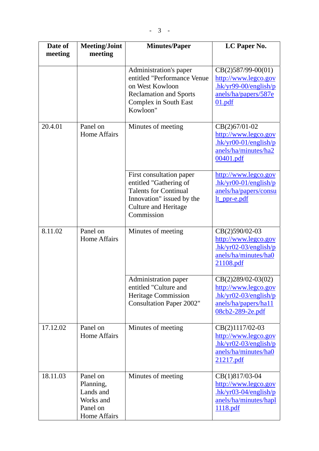| Date of  | <b>Meeting/Joint</b>                                                               | <b>Minutes/Paper</b>                                                                                                                                         | LC Paper No.                                                                                                      |
|----------|------------------------------------------------------------------------------------|--------------------------------------------------------------------------------------------------------------------------------------------------------------|-------------------------------------------------------------------------------------------------------------------|
| meeting  | meeting                                                                            |                                                                                                                                                              |                                                                                                                   |
|          |                                                                                    | Administration's paper<br>entitled "Performance Venue<br>on West Kowloon<br><b>Reclamation and Sports</b><br><b>Complex in South East</b><br>Kowloon"        | $CB(2)587/99-00(01)$<br>http://www.legco.gov<br>$-hk/yr99-00/english/p$<br>anels/ha/papers/587e<br>01.pdf         |
| 20.4.01  | Panel on<br><b>Home Affairs</b>                                                    | Minutes of meeting                                                                                                                                           | $CB(2)67/01-02$<br>http://www.legco.gov<br>$-hk/yr00-01/english/p$<br>anels/ha/minutes/ha2<br>00401.pdf           |
|          |                                                                                    | First consultation paper<br>entitled "Gathering of<br><b>Talents for Continual</b><br>Innovation" issued by the<br><b>Culture and Heritage</b><br>Commission | http://www.legco.gov<br>$hk/yr00-01/english/p$<br>anels/ha/papers/consu<br>lt_ppr-e.pdf                           |
| 8.11.02  | Panel on<br><b>Home Affairs</b>                                                    | Minutes of meeting                                                                                                                                           | CB(2)590/02-03<br>http://www.legco.gov<br>$hk/yr02-03/english/p$<br>anels/ha/minutes/ha0<br>21108.pdf             |
|          |                                                                                    | Administration paper<br>entitled "Culture and<br><b>Heritage Commission</b><br><b>Consultation Paper 2002"</b>                                               | CB(2)289/02-03(02)<br>http://www.legco.gov<br>$,hk/yr02-03/english/p$<br>anels/ha/papers/ha11<br>08cb2-289-2e.pdf |
| 17.12.02 | Panel on<br>Home Affairs                                                           | Minutes of meeting                                                                                                                                           | CB(2)1117/02-03<br>http://www.legco.gov<br>$hk/yr02-03/english/p$<br>anels/ha/minutes/ha0<br>21217.pdf            |
| 18.11.03 | Panel on<br>Planning,<br>Lands and<br>Works and<br>Panel on<br><b>Home Affairs</b> | Minutes of meeting                                                                                                                                           | CB(1)817/03-04<br>http://www.legco.gov<br>$hk/yr03-04/english/p$<br>anels/ha/minutes/hapl<br>1118.pdf             |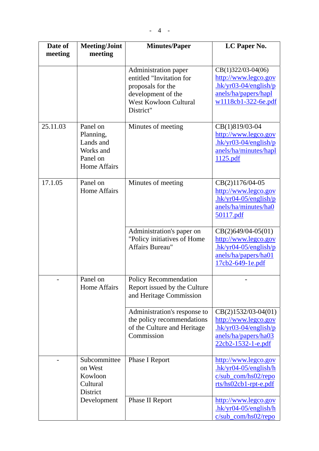| Date of  | <b>Meeting/Joint</b>                                                               | <b>Minutes/Paper</b>                                                                                                                     | LC Paper No.                                                                                                            |
|----------|------------------------------------------------------------------------------------|------------------------------------------------------------------------------------------------------------------------------------------|-------------------------------------------------------------------------------------------------------------------------|
| meeting  | meeting                                                                            |                                                                                                                                          |                                                                                                                         |
|          |                                                                                    | Administration paper<br>entitled "Invitation for<br>proposals for the<br>development of the<br><b>West Kowloon Cultural</b><br>District" | $CB(1)322/03-04(06)$<br>http://www.legco.gov<br>$.$ hk/yr03-04/english/p<br>anels/ha/papers/hapl<br>w1118cb1-322-6e.pdf |
| 25.11.03 | Panel on<br>Planning,<br>Lands and<br>Works and<br>Panel on<br><b>Home Affairs</b> | Minutes of meeting                                                                                                                       | CB(1)819/03-04<br>http://www.legco.gov<br>$hk/yr03-04/english/p$<br>anels/ha/minutes/hapl<br>1125.pdf                   |
| 17.1.05  | Panel on<br><b>Home Affairs</b>                                                    | Minutes of meeting                                                                                                                       | CB(2)1176/04-05<br>http://www.legco.gov<br>$hk/yr04-05/english/p$<br>anels/ha/minutes/ha0<br><u>50117.pdf</u>           |
|          |                                                                                    | Administration's paper on<br>"Policy initiatives of Home<br>Affairs Bureau"                                                              | $CB(2)649/04-05(01)$<br>http://www.legco.gov<br>$hk/yr04-05/english/p$<br>anels/ha/papers/ha01<br>17cb2-649-1e.pdf      |
|          | Panel on<br><b>Home Affairs</b>                                                    | <b>Policy Recommendation</b><br>Report issued by the Culture<br>and Heritage Commission                                                  |                                                                                                                         |
|          |                                                                                    | Administration's response to<br>the policy recommendations<br>of the Culture and Heritage<br>Commission                                  | $CB(2)1532/03-04(01)$<br>http://www.legco.gov<br>$.$ hk/yr03-04/english/p<br>anels/ha/papers/ha03<br>22cb2-1532-1-e.pdf |
|          | Subcommittee<br>on West<br>Kowloon<br>Cultural<br><b>District</b>                  | <b>Phase I Report</b>                                                                                                                    | http://www.legco.gov<br>$hk/yr04-05/english/h$<br>$c/sub_{com/hs02/repo}$<br>rts/hs02cb1-rpt-e.pdf                      |
|          | Development                                                                        | Phase II Report                                                                                                                          | http://www.legco.gov<br>$hk/yr04-05/english/h$<br>c/sub_com/hs02/repo                                                   |